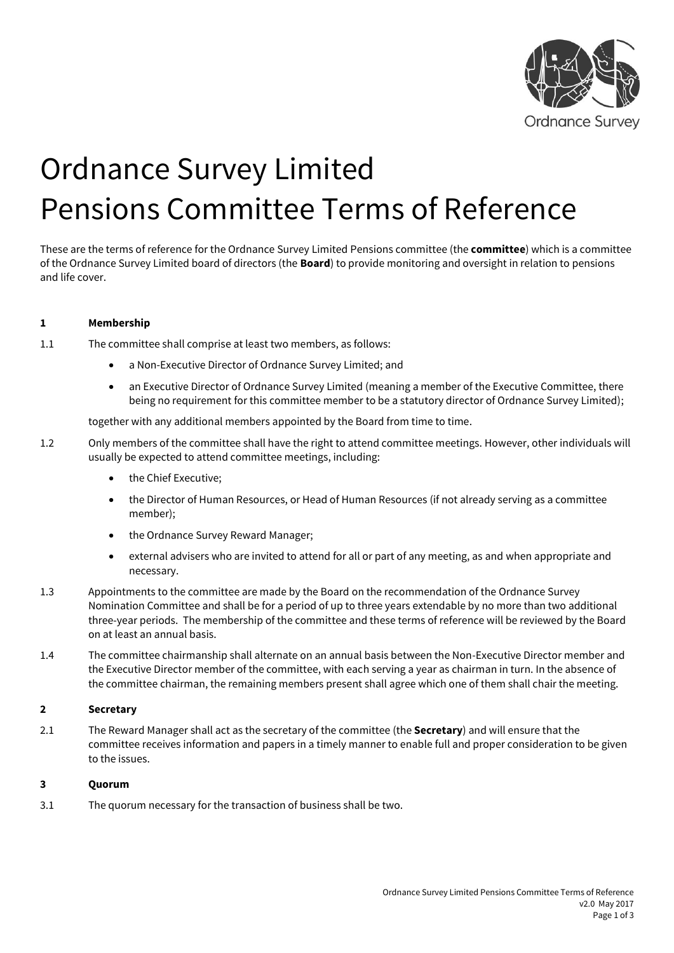

# Ordnance Survey Limited Pensions Committee Terms of Reference

These are the terms of reference for the Ordnance Survey Limited Pensions committee (the **committee**) which is a committee of the Ordnance Survey Limited board of directors (the **Board**) to provide monitoring and oversight in relation to pensions and life cover.

#### **1 Membership**

1.1 The committee shall comprise at least two members, as follows:

- a Non-Executive Director of Ordnance Survey Limited; and
- an Executive Director of Ordnance Survey Limited (meaning a member of the Executive Committee, there being no requirement for this committee member to be a statutory director of Ordnance Survey Limited);

together with any additional members appointed by the Board from time to time.

- 1.2 Only members of the committee shall have the right to attend committee meetings. However, other individuals will usually be expected to attend committee meetings, including:
	- the Chief Executive;
	- the Director of Human Resources, or Head of Human Resources (if not already serving as a committee member);
	- the Ordnance Survey Reward Manager;
	- external advisers who are invited to attend for all or part of any meeting, as and when appropriate and necessary.
- 1.3 Appointments to the committee are made by the Board on the recommendation of the Ordnance Survey Nomination Committee and shall be for a period of up to three years extendable by no more than two additional three-year periods. The membership of the committee and these terms of reference will be reviewed by the Board on at least an annual basis.
- 1.4 The committee chairmanship shall alternate on an annual basis between the Non-Executive Director member and the Executive Director member of the committee, with each serving a year as chairman in turn. In the absence of the committee chairman, the remaining members present shall agree which one of them shall chair the meeting.

#### **2 Secretary**

2.1 The Reward Manager shall act as the secretary of the committee (the **Secretary**) and will ensure that the committee receives information and papers in a timely manner to enable full and proper consideration to be given to the issues.

#### **3 Quorum**

3.1 The quorum necessary for the transaction of business shall be two.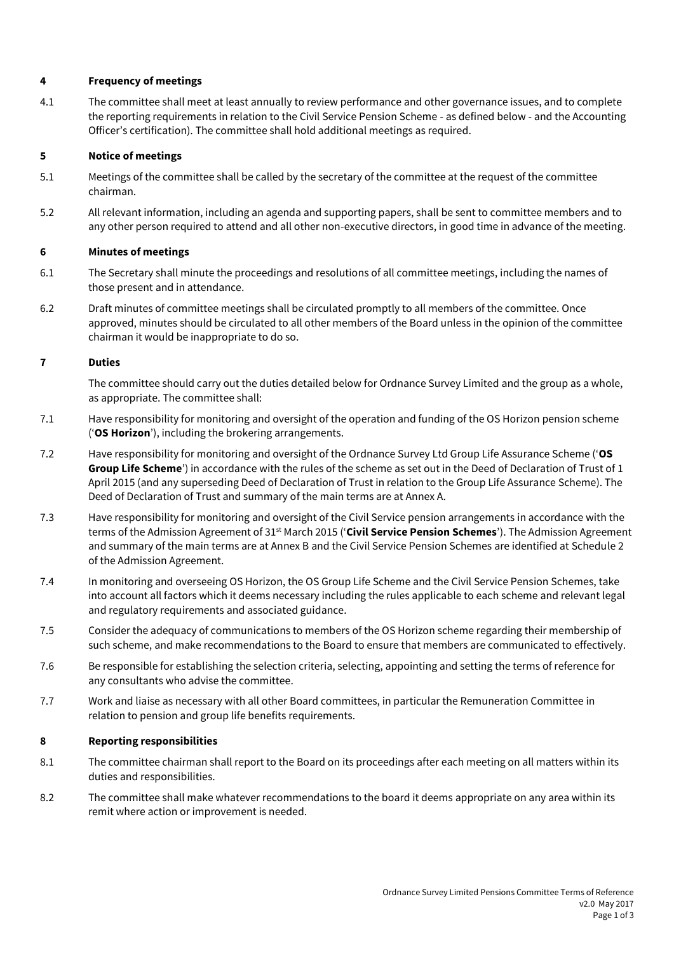#### **4 Frequency of meetings**

4.1 The committee shall meet at least annually to review performance and other governance issues, and to complete the reporting requirements in relation to the Civil Service Pension Scheme - as defined below - and the Accounting Officer's certification). The committee shall hold additional meetings as required.

#### **5 Notice of meetings**

- 5.1 Meetings of the committee shall be called by the secretary of the committee at the request of the committee chairman.
- 5.2 All relevant information, including an agenda and supporting papers, shall be sent to committee members and to any other person required to attend and all other non-executive directors, in good time in advance of the meeting.

#### **6 Minutes of meetings**

- 6.1 The Secretary shall minute the proceedings and resolutions of all committee meetings, including the names of those present and in attendance.
- 6.2 Draft minutes of committee meetings shall be circulated promptly to all members of the committee. Once approved, minutes should be circulated to all other members of the Board unless in the opinion of the committee chairman it would be inappropriate to do so.

#### **7 Duties**

The committee should carry out the duties detailed below for Ordnance Survey Limited and the group as a whole, as appropriate. The committee shall:

- 7.1 Have responsibility for monitoring and oversight of the operation and funding of the OS Horizon pension scheme ('**OS Horizon**'), including the brokering arrangements.
- 7.2 Have responsibility for monitoring and oversight of the Ordnance Survey Ltd Group Life Assurance Scheme ('**OS Group Life Scheme**') in accordance with the rules of the scheme as set out in the Deed of Declaration of Trust of 1 April 2015 (and any superseding Deed of Declaration of Trust in relation to the Group Life Assurance Scheme). The Deed of Declaration of Trust and summary of the main terms are at Annex A.
- 7.3 Have responsibility for monitoring and oversight of the Civil Service pension arrangements in accordance with the terms of the Admission Agreement of 31st March 2015 ('**Civil Service Pension Schemes**'). The Admission Agreement and summary of the main terms are at Annex B and the Civil Service Pension Schemes are identified at Schedule 2 of the Admission Agreement.
- 7.4 In monitoring and overseeing OS Horizon, the OS Group Life Scheme and the Civil Service Pension Schemes, take into account all factors which it deems necessary including the rules applicable to each scheme and relevant legal and regulatory requirements and associated guidance.
- 7.5 Consider the adequacy of communications to members of the OS Horizon scheme regarding their membership of such scheme, and make recommendations to the Board to ensure that members are communicated to effectively.
- 7.6 Be responsible for establishing the selection criteria, selecting, appointing and setting the terms of reference for any consultants who advise the committee.
- 7.7 Work and liaise as necessary with all other Board committees, in particular the Remuneration Committee in relation to pension and group life benefits requirements.

#### **8 Reporting responsibilities**

- 8.1 The committee chairman shall report to the Board on its proceedings after each meeting on all matters within its duties and responsibilities.
- 8.2 The committee shall make whatever recommendations to the board it deems appropriate on any area within its remit where action or improvement is needed.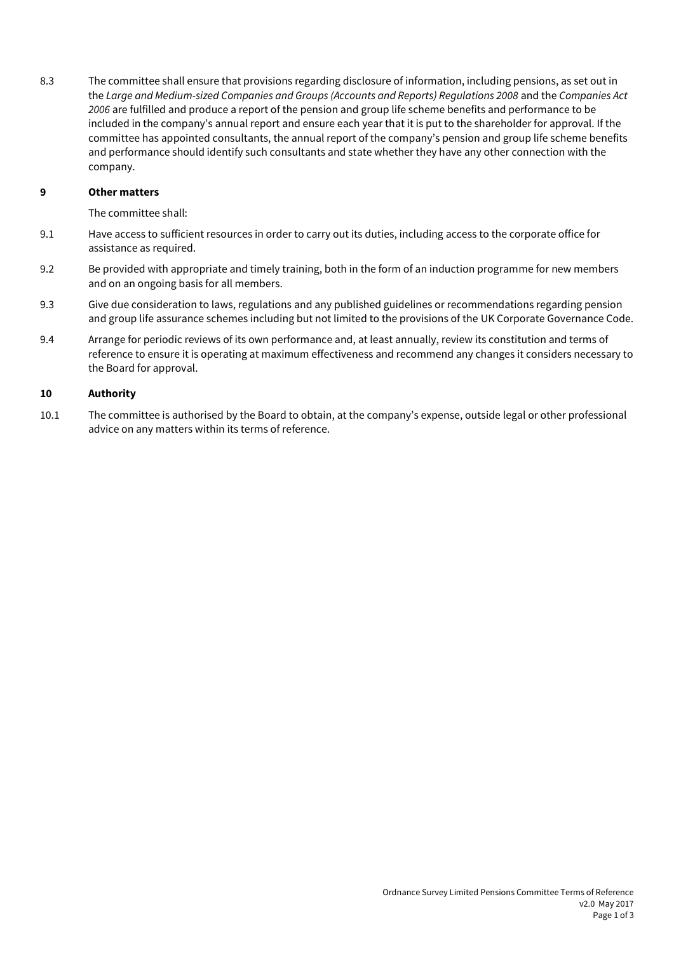8.3 The committee shall ensure that provisions regarding disclosure of information, including pensions, as set out in the *Large and Medium-sized Companies and Groups (Accounts and Reports) Regulations 2008* and the *Companies Act 2006* are fulfilled and produce a report of the pension and group life scheme benefits and performance to be included in the company's annual report and ensure each year that it is put to the shareholder for approval. If the committee has appointed consultants, the annual report of the company's pension and group life scheme benefits and performance should identify such consultants and state whether they have any other connection with the company.

#### **9 Other matters**

The committee shall:

- 9.1 Have access to sufficient resources in order to carry out its duties, including access to the corporate office for assistance as required.
- 9.2 Be provided with appropriate and timely training, both in the form of an induction programme for new members and on an ongoing basis for all members.
- 9.3 Give due consideration to laws, regulations and any published guidelines or recommendations regarding pension and group life assurance schemes including but not limited to the provisions of the UK Corporate Governance Code.
- 9.4 Arrange for periodic reviews of its own performance and, at least annually, review its constitution and terms of reference to ensure it is operating at maximum effectiveness and recommend any changes it considers necessary to the Board for approval.

#### **10 Authority**

10.1 The committee is authorised by the Board to obtain, at the company's expense, outside legal or other professional advice on any matters within its terms of reference.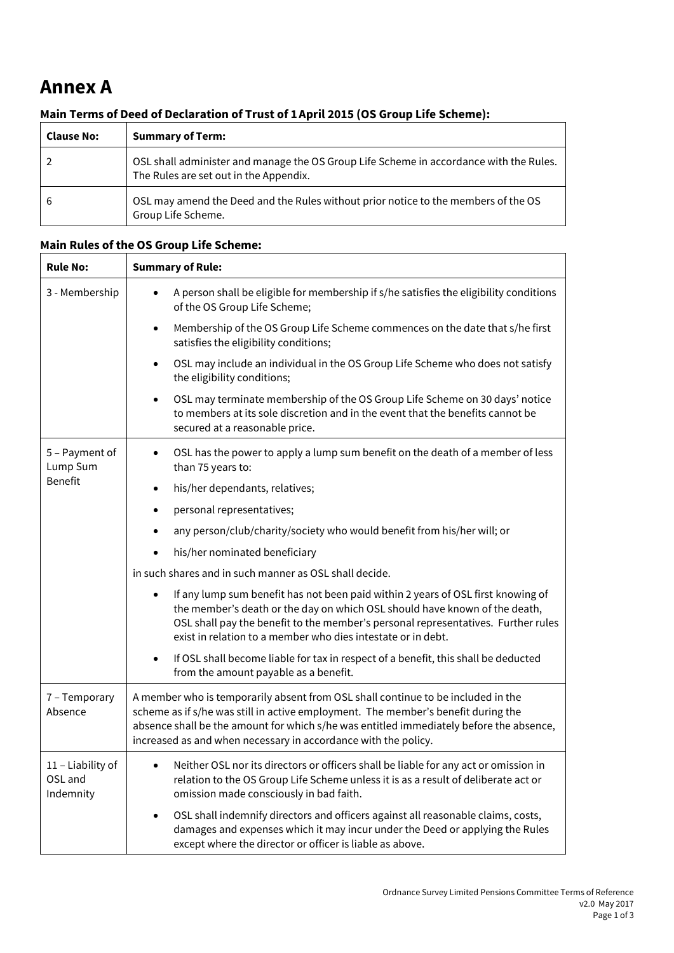## **Annex A**

### **Main Terms of Deed of Declaration of Trust of 1April 2015 (OS Group Life Scheme):**

| <b>Clause No:</b> | <b>Summary of Term:</b>                                                                                                          |
|-------------------|----------------------------------------------------------------------------------------------------------------------------------|
|                   | OSL shall administer and manage the OS Group Life Scheme in accordance with the Rules.<br>The Rules are set out in the Appendix. |
| 6                 | OSL may amend the Deed and the Rules without prior notice to the members of the OS<br>Group Life Scheme.                         |

#### **Main Rules of the OS Group Life Scheme:**

| <b>Rule No:</b>                           | <b>Summary of Rule:</b>                                                                                                                                                                                                                                                                                                            |
|-------------------------------------------|------------------------------------------------------------------------------------------------------------------------------------------------------------------------------------------------------------------------------------------------------------------------------------------------------------------------------------|
| 3 - Membership                            | A person shall be eligible for membership if s/he satisfies the eligibility conditions<br>$\bullet$<br>of the OS Group Life Scheme;                                                                                                                                                                                                |
|                                           | Membership of the OS Group Life Scheme commences on the date that s/he first<br>$\bullet$<br>satisfies the eligibility conditions;                                                                                                                                                                                                 |
|                                           | OSL may include an individual in the OS Group Life Scheme who does not satisfy<br>$\bullet$<br>the eligibility conditions;                                                                                                                                                                                                         |
|                                           | OSL may terminate membership of the OS Group Life Scheme on 30 days' notice<br>$\bullet$<br>to members at its sole discretion and in the event that the benefits cannot be<br>secured at a reasonable price.                                                                                                                       |
| 5 - Payment of<br>Lump Sum                | OSL has the power to apply a lump sum benefit on the death of a member of less<br>$\bullet$<br>than 75 years to:                                                                                                                                                                                                                   |
| <b>Benefit</b>                            | his/her dependants, relatives;<br>$\bullet$                                                                                                                                                                                                                                                                                        |
|                                           | personal representatives;<br>$\bullet$                                                                                                                                                                                                                                                                                             |
|                                           | any person/club/charity/society who would benefit from his/her will; or                                                                                                                                                                                                                                                            |
|                                           | his/her nominated beneficiary                                                                                                                                                                                                                                                                                                      |
|                                           | in such shares and in such manner as OSL shall decide.                                                                                                                                                                                                                                                                             |
|                                           | If any lump sum benefit has not been paid within 2 years of OSL first knowing of<br>$\bullet$<br>the member's death or the day on which OSL should have known of the death,<br>OSL shall pay the benefit to the member's personal representatives. Further rules<br>exist in relation to a member who dies intestate or in debt.   |
|                                           | If OSL shall become liable for tax in respect of a benefit, this shall be deducted<br>$\bullet$<br>from the amount payable as a benefit.                                                                                                                                                                                           |
| 7 - Temporary<br>Absence                  | A member who is temporarily absent from OSL shall continue to be included in the<br>scheme as if s/he was still in active employment. The member's benefit during the<br>absence shall be the amount for which s/he was entitled immediately before the absence,<br>increased as and when necessary in accordance with the policy. |
| 11 - Liability of<br>OSL and<br>Indemnity | Neither OSL nor its directors or officers shall be liable for any act or omission in<br>relation to the OS Group Life Scheme unless it is as a result of deliberate act or<br>omission made consciously in bad faith.                                                                                                              |
|                                           | OSL shall indemnify directors and officers against all reasonable claims, costs,<br>$\bullet$<br>damages and expenses which it may incur under the Deed or applying the Rules<br>except where the director or officer is liable as above.                                                                                          |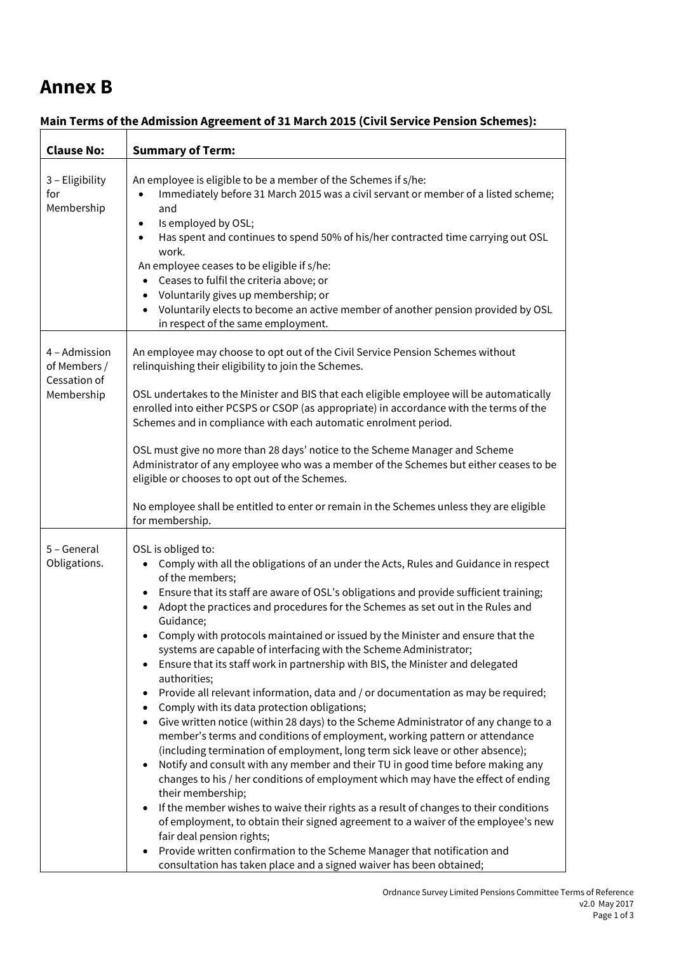## **Annex B**

| <b>Clause No:</b>                                           | <b>Summary of Term:</b>                                                                                                                                                                                                                                                                                                                                                                                                                                                                                                                                                                                                                                                                                                                                                                                                                                                                                                                                                                                                                                                                                                                                                                                                                                                                                                                                                                                                                                                                                                                                      |
|-------------------------------------------------------------|--------------------------------------------------------------------------------------------------------------------------------------------------------------------------------------------------------------------------------------------------------------------------------------------------------------------------------------------------------------------------------------------------------------------------------------------------------------------------------------------------------------------------------------------------------------------------------------------------------------------------------------------------------------------------------------------------------------------------------------------------------------------------------------------------------------------------------------------------------------------------------------------------------------------------------------------------------------------------------------------------------------------------------------------------------------------------------------------------------------------------------------------------------------------------------------------------------------------------------------------------------------------------------------------------------------------------------------------------------------------------------------------------------------------------------------------------------------------------------------------------------------------------------------------------------------|
| 3 - Eligibility<br>for<br>Membership                        | An employee is eligible to be a member of the Schemes if s/he:<br>Immediately before 31 March 2015 was a civil servant or member of a listed scheme;<br>$\bullet$<br>and<br>Is employed by OSL;<br>$\bullet$<br>Has spent and continues to spend 50% of his/her contracted time carrying out OSL<br>$\bullet$<br>work.<br>An employee ceases to be eligible if s/he:<br>Ceases to fulfil the criteria above; or<br>Voluntarily gives up membership; or<br>$\bullet$<br>Voluntarily elects to become an active member of another pension provided by OSL<br>$\bullet$<br>in respect of the same employment.                                                                                                                                                                                                                                                                                                                                                                                                                                                                                                                                                                                                                                                                                                                                                                                                                                                                                                                                                   |
| 4 - Admission<br>of Members /<br>Cessation of<br>Membership | An employee may choose to opt out of the Civil Service Pension Schemes without<br>relinquishing their eligibility to join the Schemes.<br>OSL undertakes to the Minister and BIS that each eligible employee will be automatically<br>enrolled into either PCSPS or CSOP (as appropriate) in accordance with the terms of the<br>Schemes and in compliance with each automatic enrolment period.<br>OSL must give no more than 28 days' notice to the Scheme Manager and Scheme<br>Administrator of any employee who was a member of the Schemes but either ceases to be<br>eligible or chooses to opt out of the Schemes.<br>No employee shall be entitled to enter or remain in the Schemes unless they are eligible<br>for membership.                                                                                                                                                                                                                                                                                                                                                                                                                                                                                                                                                                                                                                                                                                                                                                                                                    |
| 5 - General<br>Obligations.                                 | OSL is obliged to:<br>Comply with all the obligations of an under the Acts, Rules and Guidance in respect<br>$\bullet$<br>of the members;<br>Ensure that its staff are aware of OSL's obligations and provide sufficient training;<br>$\bullet$<br>Adopt the practices and procedures for the Schemes as set out in the Rules and<br>Guidance;<br>Comply with protocols maintained or issued by the Minister and ensure that the<br>systems are capable of interfacing with the Scheme Administrator;<br>Ensure that its staff work in partnership with BIS, the Minister and delegated<br>authorities;<br>Provide all relevant information, data and / or documentation as may be required;<br>Comply with its data protection obligations;<br>Give written notice (within 28 days) to the Scheme Administrator of any change to a<br>member's terms and conditions of employment, working pattern or attendance<br>(including termination of employment, long term sick leave or other absence);<br>Notify and consult with any member and their TU in good time before making any<br>changes to his / her conditions of employment which may have the effect of ending<br>their membership;<br>If the member wishes to waive their rights as a result of changes to their conditions<br>of employment, to obtain their signed agreement to a waiver of the employee's new<br>fair deal pension rights;<br>Provide written confirmation to the Scheme Manager that notification and<br>consultation has taken place and a signed waiver has been obtained; |

#### **Main Terms of the Admission Agreement of 31 March 2015 (Civil Service Pension Schemes):**